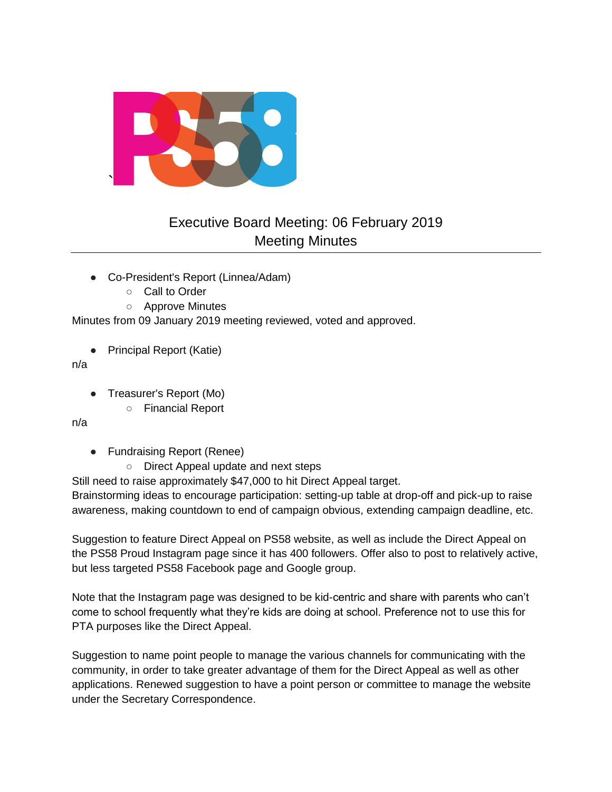

# Executive Board Meeting: 06 February 2019 Meeting Minutes

- Co-President's Report (Linnea/Adam)
	- Call to Order
	- Approve Minutes

Minutes from 09 January 2019 meeting reviewed, voted and approved.

● Principal Report (Katie)

#### n/a

- Treasurer's Report (Mo)
	- Financial Report

### n/a

- Fundraising Report (Renee)
	- Direct Appeal update and next steps

Still need to raise approximately \$47,000 to hit Direct Appeal target.

Brainstorming ideas to encourage participation: setting-up table at drop-off and pick-up to raise awareness, making countdown to end of campaign obvious, extending campaign deadline, etc.

Suggestion to feature Direct Appeal on PS58 website, as well as include the Direct Appeal on the PS58 Proud Instagram page since it has 400 followers. Offer also to post to relatively active, but less targeted PS58 Facebook page and Google group.

Note that the Instagram page was designed to be kid-centric and share with parents who can't come to school frequently what they're kids are doing at school. Preference not to use this for PTA purposes like the Direct Appeal.

Suggestion to name point people to manage the various channels for communicating with the community, in order to take greater advantage of them for the Direct Appeal as well as other applications. Renewed suggestion to have a point person or committee to manage the website under the Secretary Correspondence.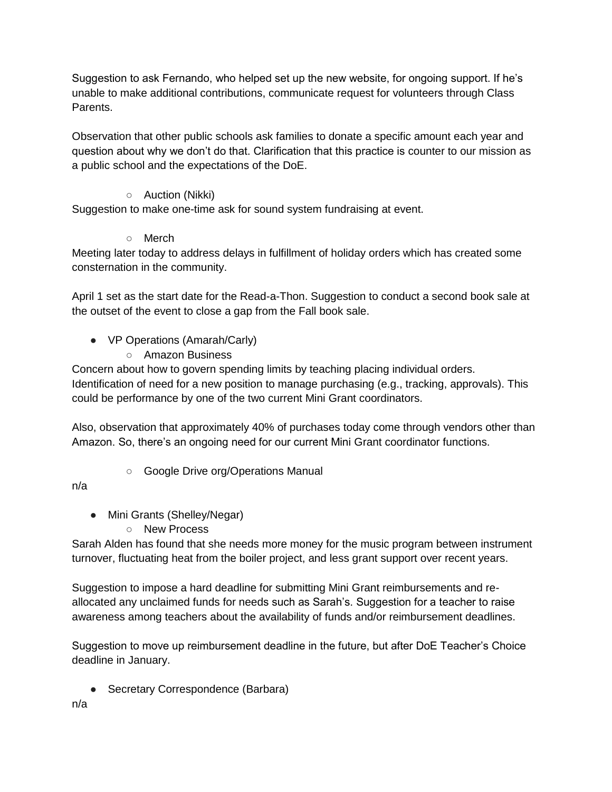Suggestion to ask Fernando, who helped set up the new website, for ongoing support. If he's unable to make additional contributions, communicate request for volunteers through Class Parents.

Observation that other public schools ask families to donate a specific amount each year and question about why we don't do that. Clarification that this practice is counter to our mission as a public school and the expectations of the DoE.

### ○ Auction (Nikki)

Suggestion to make one-time ask for sound system fundraising at event.

## ○ Merch

Meeting later today to address delays in fulfillment of holiday orders which has created some consternation in the community.

April 1 set as the start date for the Read-a-Thon. Suggestion to conduct a second book sale at the outset of the event to close a gap from the Fall book sale.

- VP Operations (Amarah/Carly)
	- Amazon Business

Concern about how to govern spending limits by teaching placing individual orders. Identification of need for a new position to manage purchasing (e.g., tracking, approvals). This could be performance by one of the two current Mini Grant coordinators.

Also, observation that approximately 40% of purchases today come through vendors other than Amazon. So, there's an ongoing need for our current Mini Grant coordinator functions.

○ Google Drive org/Operations Manual

n/a

- Mini Grants (Shelley/Negar)
	- New Process

Sarah Alden has found that she needs more money for the music program between instrument turnover, fluctuating heat from the boiler project, and less grant support over recent years.

Suggestion to impose a hard deadline for submitting Mini Grant reimbursements and reallocated any unclaimed funds for needs such as Sarah's. Suggestion for a teacher to raise awareness among teachers about the availability of funds and/or reimbursement deadlines.

Suggestion to move up reimbursement deadline in the future, but after DoE Teacher's Choice deadline in January.

● Secretary Correspondence (Barbara)

n/a